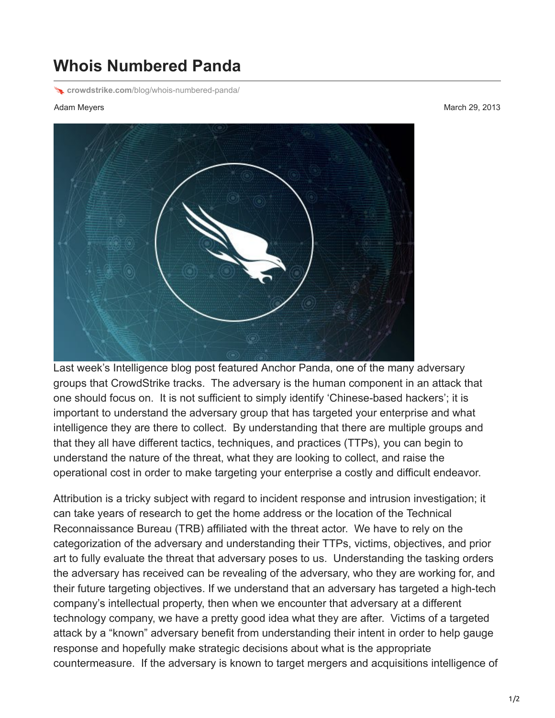## **Whois Numbered Panda**

**crowdstrike.com**[/blog/whois-numbered-panda/](http://www.crowdstrike.com/blog/whois-numbered-panda/)

Adam Meyers March 29, 2013



Last week's Intelligence blog post featured Anchor Panda, one of the many adversary groups that CrowdStrike tracks. The adversary is the human component in an attack that one should focus on. It is not sufficient to simply identify 'Chinese-based hackers'; it is important to understand the adversary group that has targeted your enterprise and what intelligence they are there to collect. By understanding that there are multiple groups and that they all have different tactics, techniques, and practices (TTPs), you can begin to understand the nature of the threat, what they are looking to collect, and raise the operational cost in order to make targeting your enterprise a costly and difficult endeavor.

Attribution is a tricky subject with regard to incident response and intrusion investigation; it can take years of research to get the home address or the location of the Technical Reconnaissance Bureau (TRB) affiliated with the threat actor. We have to rely on the categorization of the adversary and understanding their TTPs, victims, objectives, and prior art to fully evaluate the threat that adversary poses to us. Understanding the tasking orders the adversary has received can be revealing of the adversary, who they are working for, and their future targeting objectives. If we understand that an adversary has targeted a high-tech company's intellectual property, then when we encounter that adversary at a different technology company, we have a pretty good idea what they are after. Victims of a targeted attack by a "known" adversary benefit from understanding their intent in order to help gauge response and hopefully make strategic decisions about what is the appropriate countermeasure. If the adversary is known to target mergers and acquisitions intelligence of